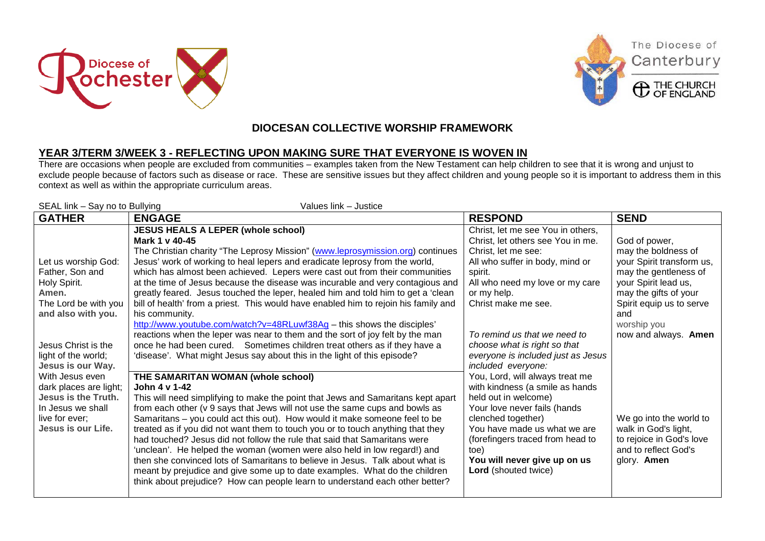





The Diocese of

Canterbury

## **DIOCESAN COLLECTIVE WORSHIP FRAMEWORK**

## **YEAR 3/TERM 3/WEEK 3 - REFLECTING UPON MAKING SURE THAT EVERYONE IS WOVEN IN**

There are occasions when people are excluded from communities – examples taken from the New Testament can help children to see that it is wrong and unjust to exclude people because of factors such as disease or race. These are sensitive issues but they affect children and young people so it is important to address them in this context as well as within the appropriate curriculum areas.

| SEAL link - Say no to Bullying<br>Values link - Justice                                                                                                                                                                                                                                                                         |                                                                                                                                                                                                                                                                                                                                                                                                                                                                                                                                                                                                                                                                                                                                                                                                                                                                                                                |                                                                                                                                                                                                                                                                                                                                                  |                                                                                                                                                                                                                       |  |  |
|---------------------------------------------------------------------------------------------------------------------------------------------------------------------------------------------------------------------------------------------------------------------------------------------------------------------------------|----------------------------------------------------------------------------------------------------------------------------------------------------------------------------------------------------------------------------------------------------------------------------------------------------------------------------------------------------------------------------------------------------------------------------------------------------------------------------------------------------------------------------------------------------------------------------------------------------------------------------------------------------------------------------------------------------------------------------------------------------------------------------------------------------------------------------------------------------------------------------------------------------------------|--------------------------------------------------------------------------------------------------------------------------------------------------------------------------------------------------------------------------------------------------------------------------------------------------------------------------------------------------|-----------------------------------------------------------------------------------------------------------------------------------------------------------------------------------------------------------------------|--|--|
| <b>GATHER</b>                                                                                                                                                                                                                                                                                                                   | <b>ENGAGE</b>                                                                                                                                                                                                                                                                                                                                                                                                                                                                                                                                                                                                                                                                                                                                                                                                                                                                                                  | <b>RESPOND</b>                                                                                                                                                                                                                                                                                                                                   | <b>SEND</b>                                                                                                                                                                                                           |  |  |
| Let us worship God:<br>Father, Son and<br>Holy Spirit.<br>Amen.<br>The Lord be with you<br>and also with you.<br>Jesus Christ is the<br>light of the world;<br><b>Jesus is our Way.</b><br>With Jesus even<br>dark places are light;<br><b>Jesus is the Truth.</b><br>In Jesus we shall<br>live for ever;<br>Jesus is our Life. | <b>JESUS HEALS A LEPER (whole school)</b><br>Mark 1 v 40-45<br>The Christian charity "The Leprosy Mission" (www.leprosymission.org) continues<br>Jesus' work of working to heal lepers and eradicate leprosy from the world,<br>which has almost been achieved. Lepers were cast out from their communities<br>at the time of Jesus because the disease was incurable and very contagious and<br>greatly feared. Jesus touched the leper, healed him and told him to get a 'clean<br>bill of health' from a priest. This would have enabled him to rejoin his family and<br>his community.<br>http://www.youtube.com/watch?v=48RLuwf38Ag - this shows the disciples'<br>reactions when the leper was near to them and the sort of joy felt by the man<br>once he had been cured. Sometimes children treat others as if they have a<br>'disease'. What might Jesus say about this in the light of this episode? | Christ, let me see You in others,<br>Christ, let others see You in me.<br>Christ, let me see:<br>All who suffer in body, mind or<br>spirit.<br>All who need my love or my care<br>or my help.<br>Christ make me see.<br>To remind us that we need to<br>choose what is right so that<br>everyone is included just as Jesus<br>included everyone: | God of power,<br>may the boldness of<br>your Spirit transform us,<br>may the gentleness of<br>your Spirit lead us,<br>may the gifts of your<br>Spirit equip us to serve<br>and<br>worship you<br>now and always. Amen |  |  |
|                                                                                                                                                                                                                                                                                                                                 | THE SAMARITAN WOMAN (whole school)<br>John 4 v 1-42<br>This will need simplifying to make the point that Jews and Samaritans kept apart<br>from each other (v 9 says that Jews will not use the same cups and bowls as<br>Samaritans – you could act this out). How would it make someone feel to be<br>treated as if you did not want them to touch you or to touch anything that they<br>had touched? Jesus did not follow the rule that said that Samaritans were<br>'unclean'. He helped the woman (women were also held in low regard!) and<br>then she convinced lots of Samaritans to believe in Jesus. Talk about what is<br>meant by prejudice and give some up to date examples. What do the children<br>think about prejudice? How can people learn to understand each other better?                                                                                                                | You, Lord, will always treat me<br>with kindness (a smile as hands<br>held out in welcome)<br>Your love never fails (hands<br>clenched together)<br>You have made us what we are<br>(forefingers traced from head to<br>toe)<br>You will never give up on us<br><b>Lord</b> (shouted twice)                                                      | We go into the world to<br>walk in God's light,<br>to rejoice in God's love<br>and to reflect God's<br>glory. Amen                                                                                                    |  |  |